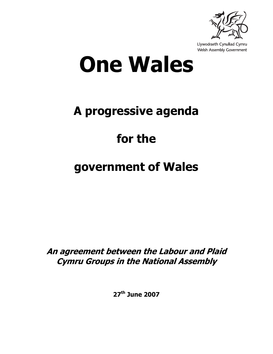

Llywodraeth Cynulliad Cymru Welsh Assembly Government

# **One Wales**

# **A progressive agenda**

# **for the**

# **government of Wales**

**An agreement between the Labour and Plaid Cymru Groups in the National Assembly** 

**27th June 2007**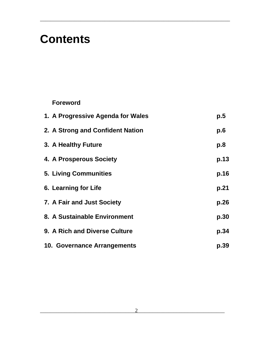## **Contents**

#### **Foreword**

| 1. A Progressive Agenda for Wales | p.5  |
|-----------------------------------|------|
| 2. A Strong and Confident Nation  | p.6  |
| 3. A Healthy Future               | p.8  |
| 4. A Prosperous Society           | p.13 |
| <b>5. Living Communities</b>      | p.16 |
| 6. Learning for Life              | p.21 |
| 7. A Fair and Just Society        | p.26 |
| 8. A Sustainable Environment      | p.30 |
| 9. A Rich and Diverse Culture     | p.34 |
| 10. Governance Arrangements       | p.39 |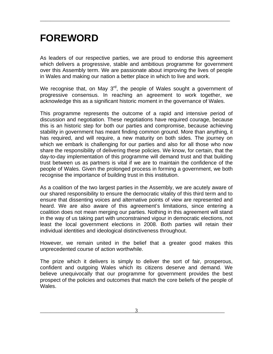### **FOREWORD**

As leaders of our respective parties, we are proud to endorse this agreement which delivers a progressive, stable and ambitious programme for government over this Assembly term. We are passionate about improving the lives of people in Wales and making our nation a better place in which to live and work.

\_\_\_\_\_\_\_\_\_\_\_\_\_\_\_\_\_\_\_\_\_\_\_\_\_\_\_\_\_\_\_\_\_\_\_\_\_\_\_\_\_\_\_\_\_\_\_\_\_\_\_\_\_\_\_\_\_\_\_\_\_\_\_\_\_\_\_\_\_\_\_

We recognise that, on May  $3<sup>rd</sup>$ , the people of Wales sought a government of progressive consensus. In reaching an agreement to work together, we acknowledge this as a significant historic moment in the governance of Wales.

This programme represents the outcome of a rapid and intensive period of discussion and negotiation. These negotiations have required courage, because this is an historic step for both our parties and compromise, because achieving stability in government has meant finding common ground. More than anything, it has required, and will require, a new maturity on both sides. The journey on which we embark is challenging for our parties and also for all those who now share the responsibility of delivering these policies. We know, for certain, that the day-to-day implementation of this programme will demand trust and that building trust between us as partners is vital if we are to maintain the confidence of the people of Wales. Given the prolonged process in forming a government, we both recognise the importance of building trust in this institution.

As a coalition of the two largest parties in the Assembly, we are acutely aware of our shared responsibility to ensure the democratic vitality of this third term and to ensure that dissenting voices and alternative points of view are represented and heard. We are also aware of this agreement's limitations, since entering a coalition does not mean merging our parties. Nothing in this agreement will stand in the way of us taking part with unconstrained vigour in democratic elections, not least the local government elections in 2008. Both parties will retain their individual identities and ideological distinctiveness throughout.

However, we remain united in the belief that a greater good makes this unprecedented course of action worthwhile.

The prize which it delivers is simply to deliver the sort of fair, prosperous, confident and outgoing Wales which its citizens deserve and demand. We believe unequivocally that our programme for government provides the best prospect of the policies and outcomes that match the core beliefs of the people of Wales.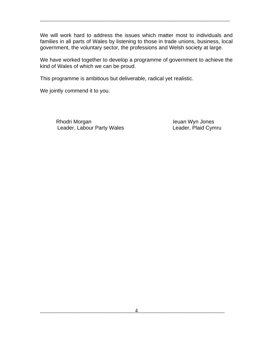We will work hard to address the issues which matter most to individuals and families in all parts of Wales by listening to those in trade unions, business, local government, the voluntary sector, the professions and Welsh society at large.

\_\_\_\_\_\_\_\_\_\_\_\_\_\_\_\_\_\_\_\_\_\_\_\_\_\_\_\_\_\_\_\_\_\_\_\_\_\_\_\_\_\_\_\_\_\_\_\_\_\_\_\_\_\_\_\_\_\_\_\_\_\_\_\_\_\_\_\_\_\_\_

We have worked together to develop a programme of government to achieve the kind of Wales of which we can be proud.

This programme is ambitious but deliverable, radical yet realistic.

We jointly commend it to you.

Rhodri Morgan **International Communist Charlotte Charlotte Charlotte Leader**, Plaid Cymru<br>
Ieuan Wyn Jones<br>
Leader, Plaid Cymru Leader, Labour Party Wales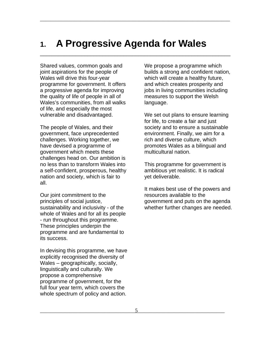### **1. A Progressive Agenda for Wales**

\_\_\_\_\_\_\_\_\_\_\_\_\_\_\_\_\_\_\_\_\_\_\_\_\_\_\_\_\_\_\_\_\_\_\_\_\_\_\_\_\_\_\_\_\_\_\_\_\_\_\_\_\_\_\_\_\_\_\_\_\_\_\_\_\_\_\_\_\_\_\_

\_\_\_\_\_\_\_\_\_\_\_\_\_\_\_\_\_\_\_\_\_\_\_\_\_\_\_\_\_\_\_\_\_\_\_\_\_\_\_\_\_\_\_\_\_\_\_\_\_\_\_\_\_\_\_\_\_\_\_\_\_\_\_\_

Shared values, common goals and joint aspirations for the people of Wales will drive this four-year programme for government. It offers a progressive agenda for improving the quality of life of people in all of Wales's communities, from all walks of life, and especially the most vulnerable and disadvantaged.

The people of Wales, and their government, face unprecedented challenges. Working together, we have devised a programme of government which meets these challenges head on. Our ambition is no less than to transform Wales into a self-confident, prosperous, healthy nation and society, which is fair to all.

Our joint commitment to the principles of social justice, sustainability and inclusivity - of the whole of Wales and for all its people - run throughout this programme. These principles underpin the programme and are fundamental to its success.

In devising this programme, we have explicitly recognised the diversity of Wales – geographically, socially, linguistically and culturally. We propose a comprehensive programme of government, for the full four year term, which covers the whole spectrum of policy and action.

We propose a programme which builds a strong and confident nation, which will create a healthy future, and which creates prosperity and jobs in living communities including measures to support the Welsh language.

We set out plans to ensure learning for life, to create a fair and just society and to ensure a sustainable environment. Finally, we aim for a rich and diverse culture, which promotes Wales as a bilingual and multicultural nation.

This programme for government is ambitious yet realistic. It is radical yet deliverable.

It makes best use of the powers and resources available to the government and puts on the agenda whether further changes are needed.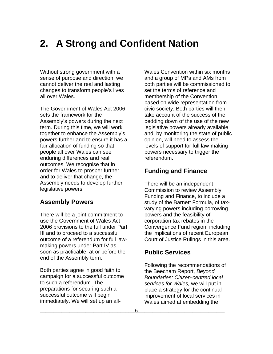### **2. A Strong and Confident Nation**

\_\_\_\_\_\_\_\_\_\_\_\_\_\_\_\_\_\_\_\_\_\_\_\_\_\_\_\_\_\_\_\_\_\_\_\_\_\_\_\_\_\_\_\_\_\_\_\_\_\_\_\_\_\_\_\_\_\_\_\_\_\_\_\_\_\_\_\_\_\_\_

\_\_\_\_\_\_\_\_\_\_\_\_\_\_\_\_\_\_\_\_\_\_\_\_\_\_\_\_\_\_\_\_\_\_\_\_\_\_\_\_\_\_\_\_\_\_\_\_\_\_\_\_\_\_\_\_\_\_\_\_\_\_\_\_

Without strong government with a sense of purpose and direction, we cannot deliver the real and lasting changes to transform people's lives all over Wales.

The Government of Wales Act 2006 sets the framework for the Assembly's powers during the next term. During this time, we will work together to enhance the Assembly's powers further and to ensure it has a fair allocation of funding so that people all over Wales can see enduring differences and real outcomes. We recognise that in order for Wales to prosper further and to deliver that change, the Assembly needs to develop further legislative powers.

#### **Assembly Powers**

There will be a joint commitment to use the Government of Wales Act 2006 provisions to the full under Part III and to proceed to a successful outcome of a referendum for full lawmaking powers under Part IV as soon as practicable, at or before the end of the Assembly term.

Both parties agree in good faith to campaign for a successful outcome to such a referendum. The preparations for securing such a successful outcome will begin immediately. We will set up an allWales Convention within six months and a group of MPs and AMs from both parties will be commissioned to set the terms of reference and membership of the Convention based on wide representation from civic society. Both parties will then take account of the success of the bedding down of the use of the new legislative powers already available and, by monitoring the state of public opinion, will need to assess the levels of support for full law-making powers necessary to trigger the referendum.

#### **Funding and Finance**

There will be an independent Commission to review Assembly Funding and Finance, to include a study of the Barnett Formula, of taxvarying powers including borrowing powers and the feasibility of corporation tax rebates in the Convergence Fund region, including the implications of recent European Court of Justice Rulings in this area.

#### **Public Services**

Following the recommendations of the Beecham Report, *Beyond Boundaries: Citizen-centred local services for Wales,* we will put in place a strategy for the continual improvement of local services in Wales aimed at embedding the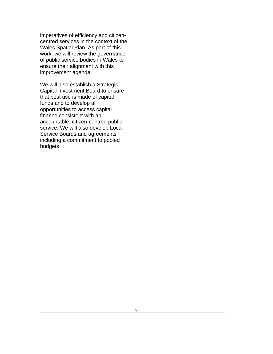imperatives of efficiency and citizencentred services in the context of the Wales Spatial Plan. As part of this work, we will review the governance of public service bodies in Wales to ensure their alignment with this improvement agenda.

We will also establish a Strategic Capital Investment Board to ensure that best use is made of capital funds and to develop all opportunities to access capital finance consistent with an accountable, citizen-centred public service. We will also develop Local Service Boards and agreements including a commitment to pooled budgets.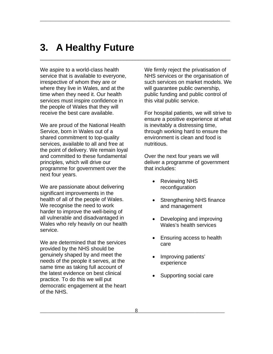### **3. A Healthy Future**

\_\_\_\_\_\_\_\_\_\_\_\_\_\_\_\_\_\_\_\_\_\_\_\_\_\_\_\_\_\_\_\_\_\_\_\_\_\_\_\_\_\_\_\_\_\_\_\_\_\_\_\_\_\_\_\_\_\_\_\_\_\_\_\_\_\_\_\_\_\_\_

\_\_\_\_\_\_\_\_\_\_\_\_\_\_\_\_\_\_\_\_\_\_\_\_\_\_\_\_\_\_\_\_\_\_\_\_\_\_\_\_\_\_\_\_\_\_\_\_\_\_\_\_\_\_\_\_\_\_\_\_\_\_\_\_

We aspire to a world-class health service that is available to everyone, irrespective of whom they are or where they live in Wales, and at the time when they need it. Our health services must inspire confidence in the people of Wales that they will receive the best care available.

We are proud of the National Health Service, born in Wales out of a shared commitment to top-quality services, available to all and free at the point of delivery. We remain loyal and committed to these fundamental principles, which will drive our programme for government over the next four years.

We are passionate about delivering significant improvements in the health of all of the people of Wales. We recognise the need to work harder to improve the well-being of all vulnerable and disadvantaged in Wales who rely heavily on our health service.

We are determined that the services provided by the NHS should be genuinely shaped by and meet the needs of the people it serves, at the same time as taking full account of the latest evidence on best clinical practice. To do this we will put democratic engagement at the heart of the NHS.

We firmly reject the privatisation of NHS services or the organisation of such services on market models. We will guarantee public ownership, public funding and public control of this vital public service.

For hospital patients, we will strive to ensure a positive experience at what is inevitably a distressing time, through working hard to ensure the environment is clean and food is nutritious.

Over the next four years we will deliver a programme of government that includes:

- Reviewing NHS reconfiguration
- Strengthening NHS finance and management
- Developing and improving Wales's health services
- Ensuring access to health care
- Improving patients' experience
- Supporting social care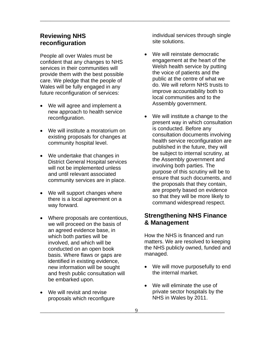#### **Reviewing NHS reconfiguration**

People all over Wales must be confident that any changes to NHS services in their communities will provide them with the best possible care. We pledge that the people of Wales will be fully engaged in any future reconfiguration of services:

- We will agree and implement a new approach to health service reconfiguration.
- We will institute a moratorium on existing proposals for changes at community hospital level.
- We undertake that changes in District General Hospital services will not be implemented unless and until relevant associated community services are in place.
- We will support changes where there is a local agreement on a way forward.
- Where proposals are contentious, we will proceed on the basis of an agreed evidence base, in which both parties will be involved, and which will be conducted on an open book basis. Where flaws or gaps are identified in existing evidence, new information will be sought and fresh public consultation will be embarked upon.
- We will revisit and revise proposals which reconfigure

individual services through single site solutions.

- We will reinstate democratic engagement at the heart of the Welsh health service by putting the voice of patients and the public at the centre of what we do. We will reform NHS trusts to improve accountability both to local communities and to the Assembly government.
- We will institute a change to the present way in which consultation is conducted. Before any consultation documents involving health service reconfiguration are published in the future, they will be subject to internal scrutiny, at the Assembly government and involving both parties. The purpose of this scrutiny will be to ensure that such documents, and the proposals that they contain, are properly based on evidence so that they will be more likely to command widespread respect.

#### **Strengthening NHS Finance & Management**

How the NHS is financed and run matters. We are resolved to keeping the NHS publicly owned, funded and managed.

- We will move purposefully to end the internal market.
- We will eliminate the use of private sector hospitals by the NHS in Wales by 2011.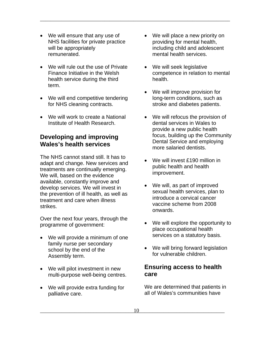- We will ensure that any use of NHS facilities for private practice will be appropriately remunerated.
- We will rule out the use of Private Finance Initiative in the Welsh health service during the third term.
- We will end competitive tendering for NHS cleaning contracts.
- We will work to create a National Institute of Health Research.

#### **Developing and improving Wales's health services**

The NHS cannot stand still. It has to adapt and change. New services and treatments are continually emerging. We will, based on the evidence available, constantly improve and develop services. We will invest in the prevention of ill health, as well as treatment and care when illness strikes.

Over the next four years, through the programme of government:

- We will provide a minimum of one family nurse per secondary school by the end of the Assembly term.
- We will pilot investment in new multi-purpose well-being centres.
- We will provide extra funding for palliative care.

• We will place a new priority on providing for mental health, including child and adolescent mental health services.

\_\_\_\_\_\_\_\_\_\_\_\_\_\_\_\_\_\_\_\_\_\_\_\_\_\_\_\_\_\_\_\_\_\_\_\_\_\_\_\_\_\_\_\_\_\_\_\_\_\_\_\_\_\_\_\_\_\_\_\_\_\_\_\_\_\_\_\_\_\_\_

- We will seek legislative competence in relation to mental health.
- We will improve provision for long-term conditions, such as stroke and diabetes patients.
- We will refocus the provision of dental services in Wales to provide a new public health focus, building up the Community Dental Service and employing more salaried dentists.
- We will invest £190 million in public health and health improvement.
- We will, as part of improved sexual health services, plan to introduce a cervical cancer vaccine scheme from 2008 onwards.
- We will explore the opportunity to place occupational health services on a statutory basis.
- We will bring forward legislation for vulnerable children.

#### **Ensuring access to health care**

We are determined that patients in all of Wales's communities have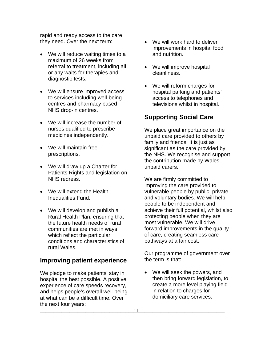rapid and ready access to the care they need. Over the next term:

- We will reduce waiting times to a maximum of 26 weeks from referral to treatment, including all or any waits for therapies and diagnostic tests.
- We will ensure improved access to services including well-being centres and pharmacy based NHS drop-in centres.
- We will increase the number of nurses qualified to prescribe medicines independently.
- We will maintain free prescriptions.
- We will draw up a Charter for Patients Rights and legislation on NHS redress.
- We will extend the Health Inequalities Fund.
- We will develop and publish a Rural Health Plan, ensuring that the future health needs of rural communities are met in ways which reflect the particular conditions and characteristics of rural Wales.

#### **Improving patient experience**

We pledge to make patients' stay in hospital the best possible. A positive experience of care speeds recovery, and helps people's overall well-being at what can be a difficult time. Over the next four years:

- We will work hard to deliver improvements in hospital food and nutrition.
- We will improve hospital cleanliness.

\_\_\_\_\_\_\_\_\_\_\_\_\_\_\_\_\_\_\_\_\_\_\_\_\_\_\_\_\_\_\_\_\_\_\_\_\_\_\_\_\_\_\_\_\_\_\_\_\_\_\_\_\_\_\_\_\_\_\_\_\_\_\_\_\_\_\_\_\_\_\_

• We will reform charges for hospital parking and patients' access to telephones and televisions whilst in hospital.

#### **Supporting Social Care**

We place great importance on the unpaid care provided to others by family and friends. It is just as significant as the care provided by the NHS. We recognise and support the contribution made by Wales' unpaid carers.

We are firmly committed to improving the care provided to vulnerable people by public, private and voluntary bodies. We will help people to be independent and achieve their full potential, whilst also protecting people when they are most vulnerable. We will drive forward improvements in the quality of care, creating seamless care pathways at a fair cost.

Our programme of government over the term is that:

• We will seek the powers, and then bring forward legislation, to create a more level playing field in relation to charges for domiciliary care services.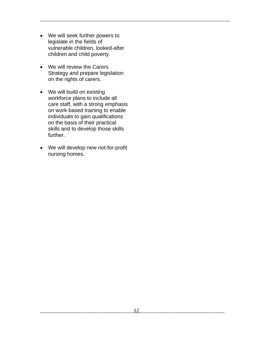• We will seek further powers to legislate in the fields of vulnerable children, looked-after children and child poverty.

- We will review the Carers Strategy and prepare legislation on the rights of carers.
- We will build on existing workforce plans to include all care staff, with a strong emphasis on work-based training to enable individuals to gain qualifications on the basis of their practical skills and to develop those skills further.
- We will develop new not-for-profit nursing homes.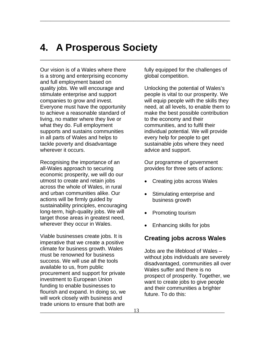### **4. A Prosperous Society**

\_\_\_\_\_\_\_\_\_\_\_\_\_\_\_\_\_\_\_\_\_\_\_\_\_\_\_\_\_\_\_\_\_\_\_\_\_\_\_\_\_\_\_\_\_\_\_\_\_\_\_\_\_\_\_\_\_\_\_\_\_\_\_\_\_\_\_\_\_\_\_

\_\_\_\_\_\_\_\_\_\_\_\_\_\_\_\_\_\_\_\_\_\_\_\_\_\_\_\_\_\_\_\_\_\_\_\_\_\_\_\_\_\_\_\_\_\_\_\_\_\_\_\_\_\_\_\_\_\_\_\_\_\_\_\_

Our vision is of a Wales where there is a strong and enterprising economy and full employment based on quality jobs. We will encourage and stimulate enterprise and support companies to grow and invest. Everyone must have the opportunity to achieve a reasonable standard of living, no matter where they live or what they do. Full employment supports and sustains communities in all parts of Wales and helps to tackle poverty and disadvantage wherever it occurs.

Recognising the importance of an all-Wales approach to securing economic prosperity, we will do our utmost to create and retain jobs across the whole of Wales, in rural and urban communities alike. Our actions will be firmly guided by sustainability principles, encouraging long-term, high-quality jobs. We will target those areas in greatest need, wherever they occur in Wales.

Viable businesses create jobs. It is imperative that we create a positive climate for business growth. Wales must be renowned for business success. We will use all the tools available to us, from public procurement and support for private investment to European Union funding to enable businesses to flourish and expand. In doing so, we will work closely with business and trade unions to ensure that both are

fully equipped for the challenges of global competition.

Unlocking the potential of Wales's people is vital to our prosperity. We will equip people with the skills they need, at all levels, to enable them to make the best possible contribution to the economy and their communities, and to fulfil their individual potential. We will provide every help for people to get sustainable jobs where they need advice and support.

Our programme of government provides for three sets of actions:

- Creating jobs across Wales
- Stimulating enterprise and business growth
- Promoting tourism
- Enhancing skills for jobs

#### **Creating jobs across Wales**

Jobs are the lifeblood of Wales – without jobs individuals are severely disadvantaged, communities all over Wales suffer and there is no prospect of prosperity. Together, we want to create jobs to give people and their communities a brighter future. To do this: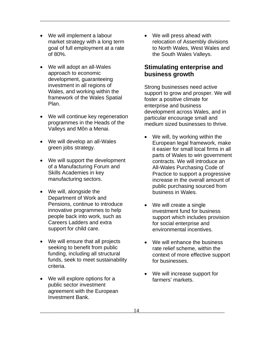- We will implement a labour market strategy with a long term goal of full employment at a rate of 80%.
- We will adopt an all-Wales approach to economic development, guaranteeing investment in all regions of Wales, and working within the framework of the Wales Spatial Plan.
- We will continue key regeneration programmes in the Heads of the Valleys and Môn a Menai.
- We will develop an all-Wales green jobs strategy.
- We will support the development of a Manufacturing Forum and Skills Academies in key manufacturing sectors.
- We will, alongside the Department of Work and Pensions, continue to introduce innovative programmes to help people back into work, such as Careers Ladders and extra support for child care.
- We will ensure that all projects seeking to benefit from public funding, including all structural funds, seek to meet sustainability criteria.
- We will explore options for a public sector investment agreement with the European Investment Bank.

• We will press ahead with relocation of Assembly divisions to North Wales, West Wales and the South Wales Valleys.

\_\_\_\_\_\_\_\_\_\_\_\_\_\_\_\_\_\_\_\_\_\_\_\_\_\_\_\_\_\_\_\_\_\_\_\_\_\_\_\_\_\_\_\_\_\_\_\_\_\_\_\_\_\_\_\_\_\_\_\_\_\_\_\_\_\_\_\_\_\_\_

#### **Stimulating enterprise and business growth**

Strong businesses need active support to grow and prosper. We will foster a positive climate for enterprise and business development across Wales, and in particular encourage small and medium sized businesses to thrive.

- We will, by working within the European legal framework, make it easier for small local firms in all parts of Wales to win government contracts. We will introduce an All-Wales Purchasing Code of Practice to support a progressive increase in the overall amount of public purchasing sourced from business in Wales.
- We will create a single investment fund for business support which includes provision for social enterprise and environmental incentives.
- We will enhance the business rate relief scheme, within the context of more effective support for businesses.
- We will increase support for farmers' markets.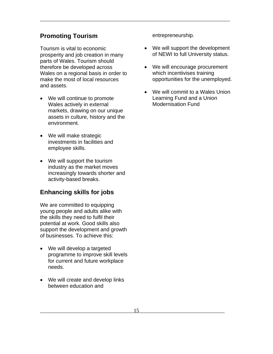#### **Promoting Tourism**

Tourism is vital to economic prosperity and job creation in many parts of Wales. Tourism should therefore be developed across Wales on a regional basis in order to make the most of local resources and assets.

- We will continue to promote Wales actively in external markets, drawing on our unique assets in culture, history and the environment.
- We will make strategic investments in facilities and employee skills.
- We will support the tourism industry as the market moves increasingly towards shorter and activity-based breaks.

#### **Enhancing skills for jobs**

We are committed to equipping young people and adults alike with the skills they need to fulfil their potential at work. Good skills also support the development and growth of businesses. To achieve this:

- We will develop a targeted programme to improve skill levels for current and future workplace needs.
- We will create and develop links between education and

entrepreneurship.

- We will support the development of NEWI to full University status.
- We will encourage procurement which incentivises training opportunities for the unemployed.
- We will commit to a Wales Union Learning Fund and a Union Modernisation Fund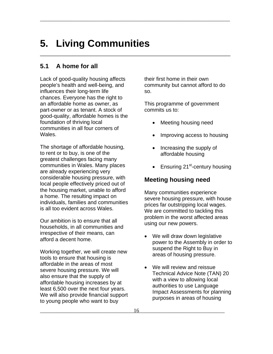### **5. Living Communities**

\_\_\_\_\_\_\_\_\_\_\_\_\_\_\_\_\_\_\_\_\_\_\_\_\_\_\_\_\_\_\_\_\_\_\_\_\_\_\_\_\_\_\_\_\_\_\_\_\_\_\_\_\_\_\_\_\_\_\_\_\_\_\_\_\_\_\_\_\_\_\_

\_\_\_\_\_\_\_\_\_\_\_\_\_\_\_\_\_\_\_\_\_\_\_\_\_\_\_\_\_\_\_\_\_\_\_\_\_\_\_\_\_\_\_\_\_\_\_\_\_\_\_\_\_\_\_\_\_\_\_\_\_\_\_\_

#### **5.1 A home for all**

Lack of good-quality housing affects people's health and well-being, and influences their long-term life chances. Everyone has the right to an affordable home as owner, as part-owner or as tenant. A stock of good-quality, affordable homes is the foundation of thriving local communities in all four corners of **Wales** 

The shortage of affordable housing, to rent or to buy, is one of the greatest challenges facing many communities in Wales. Many places are already experiencing very considerable housing pressure, with local people effectively priced out of the housing market, unable to afford a home. The resulting impact on individuals, families and communities is all too evident across Wales.

Our ambition is to ensure that all households, in all communities and irrespective of their means, can afford a decent home.

Working together, we will create new tools to ensure that housing is affordable in the areas of most severe housing pressure. We will also ensure that the supply of affordable housing increases by at least 6,500 over the next four years. We will also provide financial support to young people who want to buy

their first home in their own community but cannot afford to do so.

This programme of government commits us to:

- Meeting housing need
- Improving access to housing
- Increasing the supply of affordable housing
- Ensuring  $21^{st}$ -century housing

#### **Meeting housing need**

Many communities experience severe housing pressure, with house prices far outstripping local wages. We are committed to tackling this problem in the worst affected areas using our new powers.

- We will draw down legislative power to the Assembly in order to suspend the Right to Buy in areas of housing pressure.
- We will review and reissue Technical Advice Note (TAN) 20 with a view to allowing local authorities to use Language Impact Assessments for planning purposes in areas of housing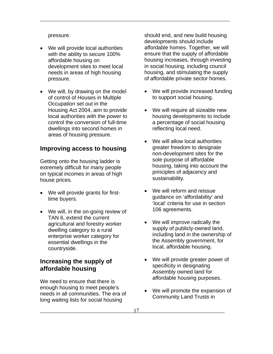pressure.

- We will provide local authorities with the ability to secure 100% affordable housing on development sites to meet local needs in areas of high housing pressure.
- We will, by drawing on the model of control of Houses in Multiple Occupation set out in the Housing Act 2004, aim to provide local authorities with the power to control the conversion of full-time dwellings into second homes in areas of housing pressure.

#### **Improving access to housing**

Getting onto the housing ladder is extremely difficult for many people on typical incomes in areas of high house prices.

- We will provide grants for firsttime buyers.
- We will, in the on-going review of TAN 6, extend the current agricultural and forestry worker dwelling category to a rural enterprise worker category for essential dwellings in the countryside.

#### **Increasing the supply of affordable housing**

We need to ensure that there is enough housing to meet people's needs in all communities. The era of long waiting lists for social housing

should end, and new build housing developments should include affordable homes. Together, we will ensure that the supply of affordable housing increases, through investing in social housing, including council housing, and stimulating the supply of affordable private sector homes.

- We will provide increased funding to support social housing.
- We will require all sizeable new housing developments to include a percentage of social housing reflecting local need.
- We will allow local authorities greater freedom to designate non-development sites for the sole purpose of affordable housing, taking into account the principles of adjacency and sustainability.
- We will reform and reissue guidance on 'affordability' and 'local' criteria for use in section 106 agreements.
- We will improve radically the supply of publicly-owned land, including land in the ownership of the Assembly government, for local, affordable housing.
- We will provide greater power of specificity in designating Assembly owned land for affordable housing purposes.
- We will promote the expansion of Community Land Trusts in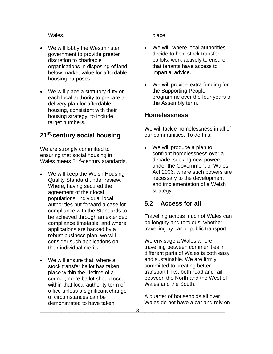Wales.

- We will lobby the Westminster government to provide greater discretion to charitable organisations in disposing of land below market value for affordable housing purposes.
- We will place a statutory duty on each local authority to prepare a delivery plan for affordable housing, consistent with their housing strategy, to include target numbers.

#### **21st-century social housing**

We are strongly committed to ensuring that social housing in Wales meets 21<sup>st</sup>-century standards.

- We will keep the Welsh Housing Quality Standard under review. Where, having secured the agreement of their local populations, individual local authorities put forward a case for compliance with the Standards to be achieved through an extended compliance timetable, and where applications are backed by a robust business plan, we will consider such applications on their individual merits.
- We will ensure that, where a stock transfer ballot has taken place within the lifetime of a council, no re-ballot should occur within that local authority term of office unless a significant change of circumstances can be demonstrated to have taken

place.

\_\_\_\_\_\_\_\_\_\_\_\_\_\_\_\_\_\_\_\_\_\_\_\_\_\_\_\_\_\_\_\_\_\_\_\_\_\_\_\_\_\_\_\_\_\_\_\_\_\_\_\_\_\_\_\_\_\_\_\_\_\_\_\_\_\_\_\_\_\_\_

- We will, where local authorities decide to hold stock transfer ballots, work actively to ensure that tenants have access to impartial advice.
- We will provide extra funding for the Supporting People programme over the four years of the Assembly term.

#### **Homelessness**

We will tackle homelessness in all of our communities. To do this:

We will produce a plan to confront homelessness over a decade, seeking new powers under the Government of Wales Act 2006, where such powers are necessary to the development and implementation of a Welsh strategy.

#### **5.2 Access for all**

Travelling across much of Wales can be lengthy and tortuous, whether travelling by car or public transport.

We envisage a Wales where travelling between communities in different parts of Wales is both easy and sustainable. We are firmly committed to creating better transport links, both road and rail, between the North and the West of Wales and the South.

A quarter of households all over Wales do not have a car and rely on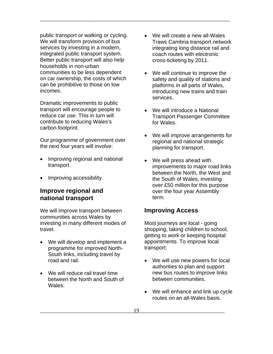public transport or walking or cycling. We will transform provision of bus services by investing in a modern, integrated public transport system. Better public transport will also help households in non-urban communities to be less dependent on car ownership, the costs of which can be prohibitive to those on low incomes.

Dramatic improvements to public transport will encourage people to reduce car use. This in turn will contribute to reducing Wales's carbon footprint.

Our programme of government over the next four years will involve:

- Improving regional and national transport
- Improving accessibility.

#### **Improve regional and national transport**

We will improve transport between communities across Wales by investing in many different modes of travel.

- We will develop and implement a programme for improved North-South links, including travel by road and rail.
- We will reduce rail travel time between the North and South of Wales.

• We will create a new all-Wales Traws Cambria transport network integrating long distance rail and coach routes with electronic cross-ticketing by 2011.

\_\_\_\_\_\_\_\_\_\_\_\_\_\_\_\_\_\_\_\_\_\_\_\_\_\_\_\_\_\_\_\_\_\_\_\_\_\_\_\_\_\_\_\_\_\_\_\_\_\_\_\_\_\_\_\_\_\_\_\_\_\_\_\_\_\_\_\_\_\_\_

- We will continue to improve the safety and quality of stations and platforms in all parts of Wales, introducing new trains and train services.
- We will introduce a National Transport Passenger Committee for Wales.
- We will improve arrangements for regional and national strategic planning for transport.
- We will press ahead with improvements to major road links between the North, the West and the South of Wales, investing over £50 million for this purpose over the four year Assembly term.

#### **Improving Access**

Most journeys are local - going shopping, taking children to school, getting to work or keeping hospital appointments. To improve local transport:

- We will use new powers for local authorities to plan and support new bus routes to improve links between communities.
- We will enhance and link up cycle routes on an all-Wales basis.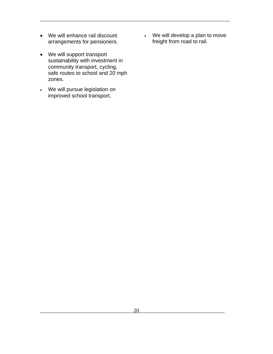- We will enhance rail discount arrangements for pensioners.
- We will support transport sustainability with investment in community transport, cycling, safe routes to school and 20 mph zones.
- We will pursue legislation on improved school transport.

• We will develop a plan to move freight from road to rail.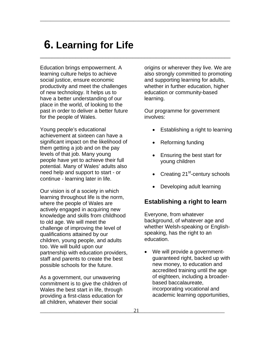### **6. Learning for Life**

\_\_\_\_\_\_\_\_\_\_\_\_\_\_\_\_\_\_\_\_\_\_\_\_\_\_\_\_\_\_\_\_\_\_\_\_\_\_\_\_\_\_\_\_\_\_\_\_\_\_\_\_\_\_\_\_\_\_\_\_\_\_\_\_\_\_\_\_\_\_\_

\_\_\_\_\_\_\_\_\_\_\_\_\_\_\_\_\_\_\_\_\_\_\_\_\_\_\_\_\_\_\_\_\_\_\_\_\_\_\_\_\_\_\_\_\_\_\_\_\_\_\_\_\_\_\_\_\_\_\_\_\_\_\_\_

Education brings empowerment. A learning culture helps to achieve social justice, ensure economic productivity and meet the challenges of new technology. It helps us to have a better understanding of our place in the world, of looking to the past in order to deliver a better future for the people of Wales.

Young people's educational achievement at sixteen can have a significant impact on the likelihood of them getting a job and on the pay levels of that job. Many young people have yet to achieve their full potential. Many of Wales' adults also need help and support to start - or continue - learning later in life.

Our vision is of a society in which learning throughout life is the norm, where the people of Wales are actively engaged in acquiring new knowledge and skills from childhood to old age. We will meet the challenge of improving the level of qualifications attained by our children, young people, and adults too. We will build upon our partnership with education providers, staff and parents to create the best possible schools for the future.

As a government, our unwavering commitment is to give the children of Wales the best start in life, through providing a first-class education for all children, whatever their social

origins or wherever they live. We are also strongly committed to promoting and supporting learning for adults, whether in further education, higher education or community-based learning.

Our programme for government involves:

- Establishing a right to learning
- Reforming funding
- Ensuring the best start for young children
- Creating  $21^{st}$ -century schools
- Developing adult learning

#### **Establishing a right to learn**

Everyone, from whatever background, of whatever age and whether Welsh-speaking or Englishspeaking, has the right to an education.

• We will provide a governmentguaranteed right, backed up with new money, to education and accredited training until the age of eighteen, including a broaderbased baccalaureate, incorporating vocational and academic learning opportunities,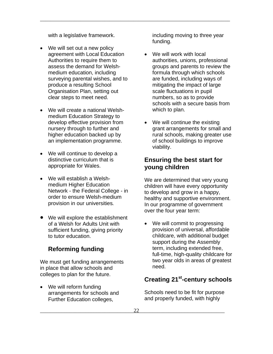with a legislative framework.

- We will set out a new policy agreement with Local Education Authorities to require them to assess the demand for Welshmedium education, including surveying parental wishes, and to produce a resulting School Organisation Plan, setting out clear steps to meet need.
- We will create a national Welshmedium Education Strategy to develop effective provision from nursery through to further and higher education backed up by an implementation programme.
- We will continue to develop a distinctive curriculum that is appropriate for Wales.
- We will establish a Welshmedium Higher Education Network - the Federal College *-* in order to ensure Welsh-medium provision in our universities*.*
- We will explore the establishment of a Welsh for Adults Unit with sufficient funding, giving priority to tutor education.

#### **Reforming funding**

We must get funding arrangements in place that allow schools and colleges to plan for the future.

• We will reform funding arrangements for schools and Further Education colleges,

including moving to three year funding.

\_\_\_\_\_\_\_\_\_\_\_\_\_\_\_\_\_\_\_\_\_\_\_\_\_\_\_\_\_\_\_\_\_\_\_\_\_\_\_\_\_\_\_\_\_\_\_\_\_\_\_\_\_\_\_\_\_\_\_\_\_\_\_\_\_\_\_\_\_\_\_

- We will work with local authorities, unions, professional groups and parents to review the formula through which schools are funded, including ways of mitigating the impact of large scale fluctuations in pupil numbers, so as to provide schools with a secure basis from which to plan.
- We will continue the existing grant arrangements for small and rural schools, making greater use of school buildings to improve viability.

#### **Ensuring the best start for young children**

We are determined that very young children will have every opportunity to develop and grow in a happy, healthy and supportive environment. In our programme of government over the four year term:

• We will commit to progressing provision of universal, affordable childcare, with additional budget support during the Assembly term, including extended free, full-time, high-quality childcare for two year olds in areas of greatest need.

#### **Creating 21st-century schools**

Schools need to be fit for purpose and properly funded, with highly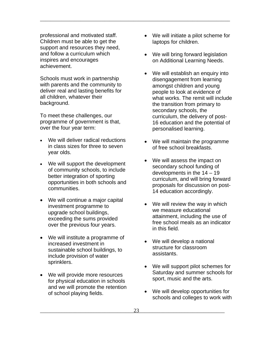professional and motivated staff. Children must be able to get the support and resources they need, and follow a curriculum which inspires and encourages achievement.

Schools must work in partnership with parents and the community to deliver real and lasting benefits for all children, whatever their background.

To meet these challenges, our programme of government is that, over the four year term:

- We will deliver radical reductions in class sizes for three to seven year olds.
- We will support the development of community schools, to include better integration of sporting opportunities in both schools and communities.
- We will continue a major capital investment programme to upgrade school buildings, exceeding the sums provided over the previous four years.
- We will institute a programme of increased investment in sustainable school buildings, to include provision of water sprinklers.
- We will provide more resources for physical education in schools and we will promote the retention of school playing fields.

• We will initiate a pilot scheme for laptops for children.

- We will bring forward legislation on Additional Learning Needs.
- We will establish an enquiry into disengagement from learning amongst children and young people to look at evidence of what works. The remit will include the transition from primary to secondary schools, the curriculum, the delivery of post-16 education and the potential of personalised learning.
- We will maintain the programme of free school breakfasts.
- We will assess the impact on secondary school funding of developments in the 14 – 19 curriculum, and will bring forward proposals for discussion on post-14 education accordingly.
- We will review the way in which we measure educational attainment, including the use of free school meals as an indicator in this field.
- We will develop a national structure for classroom assistants.
- We will support pilot schemes for Saturday and summer schools for sport, music and the arts.
- We will develop opportunities for schools and colleges to work with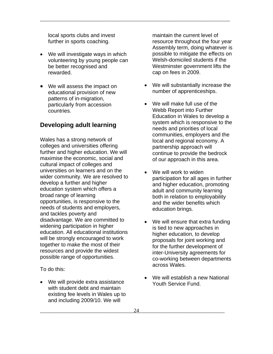local sports clubs and invest further in sports coaching.

\_\_\_\_\_\_\_\_\_\_\_\_\_\_\_\_\_\_\_\_\_\_\_\_\_\_\_\_\_\_\_\_\_\_\_\_\_\_\_\_\_\_\_\_\_\_\_\_\_\_\_\_\_\_\_\_\_\_\_\_\_\_\_\_\_\_\_\_\_\_\_

- We will investigate ways in which volunteering by young people can be better recognised and rewarded.
- We will assess the impact on educational provision of new patterns of in-migration, particularly from accession countries.

#### **Developing adult learning**

Wales has a strong network of colleges and universities offering further and higher education. We will maximise the economic, social and cultural impact of colleges and universities on learners and on the wider community. We are resolved to develop a further and higher education system which offers a broad range of learning opportunities, is responsive to the needs of students and employers, and tackles poverty and disadvantage. We are committed to widening participation in higher education. All educational institutions will be strongly encouraged to work together to make the most of their resources and provide the widest possible range of opportunities.

To do this:

• We will provide extra assistance with student debt and maintain existing fee levels in Wales up to and including 2009/10. We will

maintain the current level of resource throughout the four year Assembly term, doing whatever is possible to mitigate the effects on Welsh-domiciled students if the Westminster government lifts the cap on fees in 2009.

- We will substantially increase the number of apprenticeships.
- We will make full use of the Webb Report into Further Education in Wales to develop a system which is responsive to the needs and priorities of local communities, employers and the local and regional economy. A partnership approach will continue to provide the bedrock of our approach in this area.
- We will work to widen participation for all ages in further and higher education, promoting adult and community learning both in relation to employability and the wider benefits which education brings.
- We will ensure that extra funding is tied to new approaches in higher education, to develop proposals for joint working and for the further development of inter-University agreements for co-working between departments across Wales.
- We will establish a new National Youth Service Fund.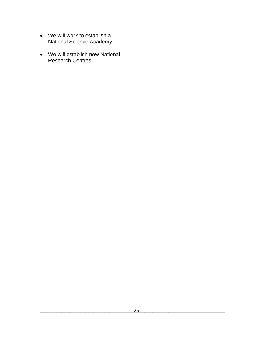- We will work to establish a National Science Academy.
- We will establish new National Research Centres.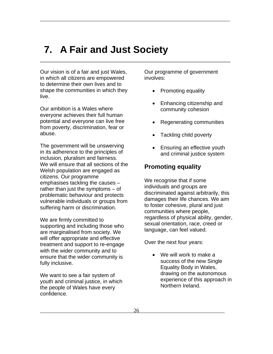### **7. A Fair and Just Society**

\_\_\_\_\_\_\_\_\_\_\_\_\_\_\_\_\_\_\_\_\_\_\_\_\_\_\_\_\_\_\_\_\_\_\_\_\_\_\_\_\_\_\_\_\_\_\_\_\_\_\_\_\_\_\_\_\_\_\_\_\_\_\_\_\_\_\_\_\_\_\_

\_\_\_\_\_\_\_\_\_\_\_\_\_\_\_\_\_\_\_\_\_\_\_\_\_\_\_\_\_\_\_\_\_\_\_\_\_\_\_\_\_\_\_\_\_\_\_\_\_\_\_\_\_\_\_\_\_\_\_\_\_\_\_\_

Our vision is of a fair and just Wales, in which all citizens are empowered to determine their own lives and to shape the communities in which they live.

Our ambition is a Wales where everyone achieves their full human potential and everyone can live free from poverty, discrimination, fear or abuse.

The government will be unswerving in its adherence to the principles of inclusion, pluralism and fairness. We will ensure that all sections of the Welsh population are engaged as citizens. Our programme emphasises tackling the causes – rather than just the symptoms – of problematic behaviour and protects vulnerable individuals or groups from suffering harm or discrimination.

We are firmly committed to supporting and including those who are marginalised from society. We will offer appropriate and effective treatment and support to re-engage with the wider community and to ensure that the wider community is fully inclusive.

We want to see a fair system of youth and criminal justice, in which the people of Wales have every confidence.

Our programme of government involves:

- Promoting equality
- Enhancing citizenship and community cohesion
- Regenerating communities
- Tackling child poverty
- Ensuring an effective youth and criminal justice system

#### **Promoting equality**

We recognise that if some individuals and groups are discriminated against arbitrarily, this damages their life chances. We aim to foster cohesive, plural and just communities where people, regardless of physical ability, gender, sexual orientation, race, creed or language, can feel valued.

Over the next four years:

• We will work to make a success of the new Single Equality Body in Wales, drawing on the autonomous experience of this approach in Northern Ireland.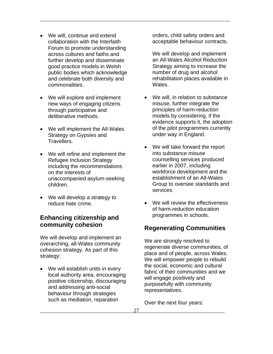- We will, continue and extend collaboration with the Interfaith Forum to promote understanding across cultures and faiths and further develop and disseminate good practice models in Welsh public bodies which acknowledge and celebrate both diversity and commonalities.
- We will explore and implement new ways of engaging citizens through participative and deliberative methods.
- We will implement the All-Wales Strategy on Gypsies and Travellers.
- We will refine and implement the Refugee Inclusion Strategy including the recommendations on the interests of unaccompanied asylum-seeking children.
- We will develop a strategy to reduce hate crime.

#### **Enhancing citizenship and community cohesion**

We will develop and implement an overarching, all-Wales community cohesion strategy. As part of this strategy:

• We will establish units in every local authority area, encouraging positive citizenship, discouraging and addressing anti-social behaviour through strategies such as mediation, reparation

orders, child safety orders and acceptable behaviour contracts.

We will develop and implement an All-Wales Alcohol Reduction Strategy aiming to increase the number of drug and alcohol rehabilitation places available in Wales.

- We will, in relation to substance misuse, further integrate the principles of harm-reduction models by considering, if the evidence supports it, the adoption of the pilot programmes currently under way in England.
- We will take forward the report into substance misuse counselling services produced earlier in 2007, including workforce development and the establishment of an All-Wales Group to oversee standards and services.
- We will review the effectiveness of harm-reduction education programmes in schools.

#### **Regenerating Communities**

We are strongly resolved to regenerate diverse communities, of place and of people, across Wales. We will empower people to rebuild the social, economic and cultural fabric of their communities and we will engage positively and purposefully with community representatives.

Over the next four years: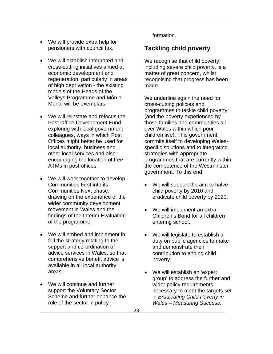- We will provide extra help for pensioners with council tax.
- We will establish integrated and cross-cutting initiatives aimed at economic development and regeneration, particularly in areas of high deprivation - the existing models of the Heads of the Valleys Programme and Môn a Menai will be exemplars.
- We will reinstate and refocus the Post Office Development Fund, exploring with local government colleagues, ways in which Post Offices might better be used for local authority, business and other local services and also encouraging the location of free ATMs in post offices.
- We will work together to develop Communities First into its Communities Next phase, drawing on the experience of the wider community development movement in Wales and the findings of the Interim Evaluation of the programme.
- We will embed and implement in full the strategy relating to the support and co-ordination of advice services in Wales, so that comprehensive benefit advice is available in all local authority areas.
- We will continue and further support the Voluntary Sector Scheme and further enhance the role of the sector in policy

formation.

\_\_\_\_\_\_\_\_\_\_\_\_\_\_\_\_\_\_\_\_\_\_\_\_\_\_\_\_\_\_\_\_\_\_\_\_\_\_\_\_\_\_\_\_\_\_\_\_\_\_\_\_\_\_\_\_\_\_\_\_\_\_\_\_\_\_\_\_\_\_\_

#### **Tackling child poverty**

We recognise that child poverty, including severe child poverty, is a matter of great concern, whilst recognising that progress has been made.

We underline again the need for cross-cutting policies and programmes to tackle child poverty (and the poverty experienced by those families and communities all over Wales within which poor children live). This government commits itself to developing Walesspecific solutions and to integrating strategies with appropriate programmes that are currently within the competence of the Westminster government. To this end:

- We will support the aim to halve child poverty by 2010 and eradicate child poverty by 2020.
- We will implement an extra Children's Bond for all children entering school.
- We will legislate to establish a duty on public agencies to make and demonstrate their contribution to ending child poverty.
- We will establish an 'expert group' to address the further and wider policy requirements necessary to meet the targets set in *Eradicating Child Poverty in Wales – Measuring Success*.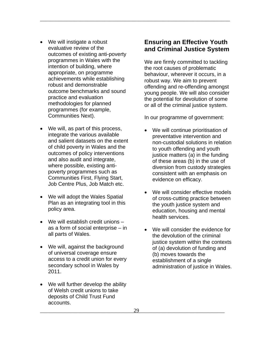- We will instigate a robust evaluative review of the outcomes of existing anti-poverty programmes in Wales with the intention of building, where appropriate, on programme achievements while establishing robust and demonstrable outcome benchmarks and sound practice and evaluation methodologies for planned programmes (for example, Communities Next).
- We will, as part of this process, integrate the various available and salient datasets on the extent of child poverty in Wales and the outcomes of policy interventions and also audit and integrate, where possible, existing antipoverty programmes such as Communities First, Flying Start, Job Centre Plus, Job Match etc.
- We will adopt the Wales Spatial Plan as an integrating tool in this policy area.
- We will establish credit unions as a form of social enterprise – in
- We will, against the background of universal coverage ensure access to a credit union for every secondary school in Wales by 2011.
- We will further develop the ability of Welsh credit unions to take deposits of Child Trust Fund accounts.

#### **Ensuring an Effective Youth and Criminal Justice System**

\_\_\_\_\_\_\_\_\_\_\_\_\_\_\_\_\_\_\_\_\_\_\_\_\_\_\_\_\_\_\_\_\_\_\_\_\_\_\_\_\_\_\_\_\_\_\_\_\_\_\_\_\_\_\_\_\_\_\_\_\_\_\_\_\_\_\_\_\_\_\_

We are firmly committed to tackling the root causes of problematic behaviour, wherever it occurs, in a robust way. We aim to prevent offending and re-offending amongst young people. We will also consider the potential for devolution of some or all of the criminal justice system.

In our programme of government:

- We will continue prioritisation of preventative intervention and non-custodial solutions in relation to youth offending and youth justice matters (a) in the funding of these areas (b) in the use of diversion from custody strategies consistent with an emphasis on evidence on efficacy.
- We will consider effective models of cross-cutting practice between the youth justice system and education, housing and mental health services.
- as a form of social enterprise in  $\bullet$  We will consider the evidence for all parts of Wales. the devolution of the criminal justice system within the contexts of (a) devolution of funding and (b) moves towards the establishment of a single administration of justice in Wales.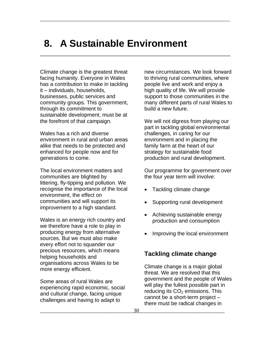### **8. A Sustainable Environment**

\_\_\_\_\_\_\_\_\_\_\_\_\_\_\_\_\_\_\_\_\_\_\_\_\_\_\_\_\_\_\_\_\_\_\_\_\_\_\_\_\_\_\_\_\_\_\_\_\_\_\_\_\_\_\_\_\_\_\_\_\_\_\_\_\_\_\_\_\_\_\_

\_\_\_\_\_\_\_\_\_\_\_\_\_\_\_\_\_\_\_\_\_\_\_\_\_\_\_\_\_\_\_\_\_\_\_\_\_\_\_\_\_\_\_\_\_\_\_\_\_\_\_\_\_\_\_\_\_\_\_\_\_\_\_\_

Climate change is the greatest threat facing humanity. Everyone in Wales has a contribution to make in tackling it – individuals, households, businesses, public services and community groups. This government, through its commitment to sustainable development, must be at the forefront of that campaign.

Wales has a rich and diverse environment in rural and urban areas alike that needs to be protected and enhanced for people now and for generations to come.

The local environment matters and communities are blighted by littering, fly-tipping and pollution. We recognise the importance of the local environment, the effect on communities and will support its improvement to a high standard.

Wales is an energy rich country and we therefore have a role to play in producing energy from alternative sources. But we must also make every effort not to squander our precious resources, which means helping households and organisations across Wales to be more energy efficient.

Some areas of rural Wales are experiencing rapid economic, social and cultural change, facing unique challenges and having to adapt to

new circumstances. We look forward to thriving rural communities, where people live and work and enjoy a high quality of life. We will provide support to those communities in the many different parts of rural Wales to build a new future.

We will not digress from playing our part in tackling global environmental challenges, in caring for our environment and in placing the family farm at the heart of our strategy for sustainable food production and rural development.

Our programme for government over the four year term will involve:

- Tackling climate change
- Supporting rural development
- Achieving sustainable energy production and consumption
- Improving the local environment

#### **Tackling climate change**

Climate change is a major global threat. We are resolved that this government and the people of Wales will play the fullest possible part in reducing its  $CO<sub>2</sub>$  emissions. This cannot be a short-term project – there must be radical changes in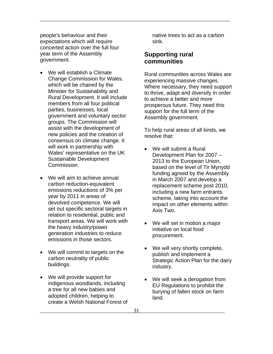people's behaviour and their expectations which will require concerted action over the full four year term of the Assembly government.

- We will establish a Climate Change Commission for Wales. which will be chaired by the Minister for Sustainability and Rural Development. It will include members from all four political parties, businesses, local government and voluntary sector groups. The Commission will assist with the development of new policies and the creation of consensus on climate change. It will work in partnership with Wales' representative on the UK Sustainable Development Commission.
- We will aim to achieve annual carbon reduction-equivalent emissions reductions of 3% per year by 2011 in areas of devolved competence. We will set out specific sectoral targets in relation to residential, public and transport areas. We will work with the heavy industry/power generation industries to reduce emissions in those sectors.
- We will commit to targets on the carbon neutrality of public buildings.
- We will provide support for indigenous woodlands, including a tree for all new babies and adopted children, helping to create a Welsh National Forest of

native trees to act as a carbon sink.

#### **Supporting rural communities**

\_\_\_\_\_\_\_\_\_\_\_\_\_\_\_\_\_\_\_\_\_\_\_\_\_\_\_\_\_\_\_\_\_\_\_\_\_\_\_\_\_\_\_\_\_\_\_\_\_\_\_\_\_\_\_\_\_\_\_\_\_\_\_\_\_\_\_\_\_\_\_

Rural communities across Wales are experiencing massive changes. Where necessary, they need support to thrive, adapt and diversify in order to achieve a better and more prosperous future. They need this support for the full term of the Assembly government.

To help rural areas of all kinds, we resolve that:

- We will submit a Rural Development Plan for 2007 – 2013 to the European Union, based on the level of Tir Mynydd funding agreed by the Assembly in March 2007 and develop a replacement scheme post 2010, including a new farm entrants scheme, taking into account the impact on other elements within Axis Two.
- We will set in motion a major initiative on local food procurement.
- We will very shortly complete, publish and implement a Strategic Action Plan for the dairy industry.
- We will seek a derogation from EU Regulations to prohibit the burying of fallen stock on farm land.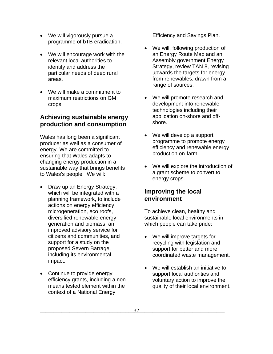- We will vigorously pursue a programme of bTB eradication.
- We will encourage work with the relevant local authorities to identify and address the particular needs of deep rural areas.
- We will make a commitment to maximum restrictions on GM crops.

#### **Achieving sustainable energy production and consumption**

Wales has long been a significant producer as well as a consumer of energy. We are committed to ensuring that Wales adapts to changing energy production in a sustainable way that brings benefits to Wales's people. We will:

- Draw up an Energy Strategy, which will be integrated with a planning framework, to include actions on energy efficiency, microgeneration, eco roofs, diversified renewable energy generation and biomass, an improved advisory service for citizens and communities, and support for a study on the proposed Severn Barrage, including its environmental impact.
- Continue to provide energy efficiency grants, including a nonmeans tested element within the context of a National Energy

Efficiency and Savings Plan.

\_\_\_\_\_\_\_\_\_\_\_\_\_\_\_\_\_\_\_\_\_\_\_\_\_\_\_\_\_\_\_\_\_\_\_\_\_\_\_\_\_\_\_\_\_\_\_\_\_\_\_\_\_\_\_\_\_\_\_\_\_\_\_\_\_\_\_\_\_\_\_

- We will, following production of an Energy Route Map and an Assembly government Energy Strategy, review TAN 8, revising upwards the targets for energy from renewables, drawn from a range of sources.
- We will promote research and development into renewable technologies including their application on-shore and offshore.
- We will develop a support programme to promote energy efficiency and renewable energy production on-farm.
- We will explore the introduction of a grant scheme to convert to energy crops.

#### **Improving the local environment**

To achieve clean, healthy and sustainable local environments in which people can take pride:

- We will improve targets for recycling with legislation and support for better and more coordinated waste management.
- We will establish an initiative to support local authorities and voluntary action to improve the quality of their local environment.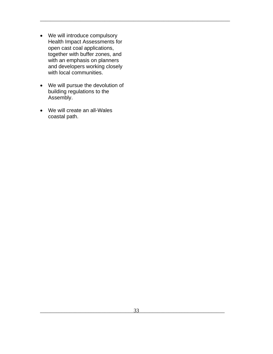- We will introduce compulsory Health Impact Assessments for open cast coal applications, together with buffer zones, and with an emphasis on planners and developers working closely with local communities.
- We will pursue the devolution of building regulations to the Assembly.
- We will create an all-Wales coastal path.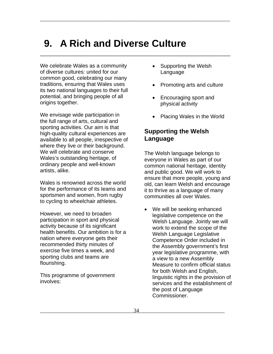### **9. A Rich and Diverse Culture**

\_\_\_\_\_\_\_\_\_\_\_\_\_\_\_\_\_\_\_\_\_\_\_\_\_\_\_\_\_\_\_\_\_\_\_\_\_\_\_\_\_\_\_\_\_\_\_\_\_\_\_\_\_\_\_\_\_\_\_\_\_\_\_\_\_\_\_\_\_\_\_

\_\_\_\_\_\_\_\_\_\_\_\_\_\_\_\_\_\_\_\_\_\_\_\_\_\_\_\_\_\_\_\_\_\_\_\_\_\_\_\_\_\_\_\_\_\_\_\_\_\_\_\_\_\_\_\_\_\_\_\_\_\_\_\_

We celebrate Wales as a community of diverse cultures: united for our common good, celebrating our many traditions, ensuring that Wales uses its two national languages to their full potential, and bringing people of all origins together.

We envisage wide participation in the full range of arts, cultural and sporting activities. Our aim is that high-quality cultural experiences are available to all people, irrespective of where they live or their background. We will celebrate and conserve Wales's outstanding heritage, of ordinary people and well-known artists, alike.

Wales is renowned across the world for the performance of its teams and sportsmen and women, from rugby to cycling to wheelchair athletes.

However, we need to broaden participation in sport and physical activity because of its significant health benefits. Our ambition is for a nation where everyone gets their recommended thirty minutes of exercise five times a week, and sporting clubs and teams are flourishing.

This programme of government involves:

- Supporting the Welsh Language
- Promoting arts and culture
- Encouraging sport and physical activity
- Placing Wales in the World

#### **Supporting the Welsh Language**

The Welsh language belongs to everyone in Wales as part of our common national heritage, identity and public good. We will work to ensure that more people, young and old, can learn Welsh and encourage it to thrive as a language of many communities all over Wales.

• We will be seeking enhanced legislative competence on the Welsh Language. Jointly we will work to extend the scope of the Welsh Language Legislative Competence Order included in the Assembly government's first year legislative programme, with a view to a new Assembly Measure to confirm official status for both Welsh and English, linguistic rights in the provision of services and the establishment of the post of Language Commissioner.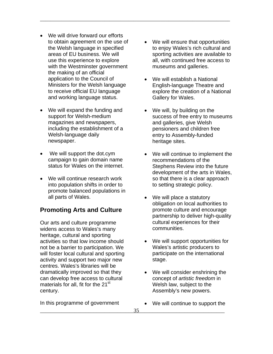- We will drive forward our efforts to obtain agreement on the use of the Welsh language in specified areas of EU business. We will use this experience to explore with the Westminster government the making of an official application to the Council of Ministers for the Welsh language to receive official EU language and working language status.
- We will expand the funding and support for Welsh-medium magazines and newspapers, including the establishment of a Welsh-language daily newspaper.
- We will support the dot.cym campaign to gain domain name status for Wales on the internet.
- We will continue research work into population shifts in order to promote balanced populations in all parts of Wales.

#### **Promoting Arts and Culture**

Our arts and culture programme widens access to Wales's many heritage, cultural and sporting activities so that low income should not be a barrier to participation. We will foster local cultural and sporting activity and support two major new centres. Wales's libraries will be dramatically improved so that they can develop free access to cultural materials for all, fit for the  $21<sup>st</sup>$ century.

In this programme of government

- We will ensure that opportunities to enjoy Wales's rich cultural and sporting activities are available to all, with continued free access to museums and galleries.
- We will establish a National English-language Theatre and explore the creation of a National Gallery for Wales.
- We will, by building on the success of free entry to museums and galleries, give Welsh pensioners and children free entry to Assembly-funded heritage sites.
- We will continue to implement the recommendations of the Stephens Review into the future development of the arts in Wales, so that there is a clear approach to setting strategic policy.
- We will place a statutory obligation on local authorities to promote culture and encourage partnership to deliver high-quality cultural experiences for their communities.
- We will support opportunities for Wales's artistic producers to participate on the international stage.
- We will consider enshrining the concept of *artistic freedom* in Welsh law, subject to the Assembly's new powers.
- We will continue to support the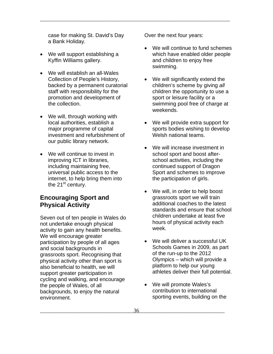case for making St. David's Day a Bank Holiday.

- We will support establishing a Kyffin Williams gallery.
- We will establish an all-Wales Collection of People's History, backed by a permanent curatorial staff with responsibility for the promotion and development of the collection.
- We will, through working with local authorities, establish a major programme of capital investment and refurbishment of our public library network.
- We will continue to invest in improving ICT in libraries, including maintaining free, universal public access to the internet, to help bring them into the  $21^{st}$  century.

#### **Encouraging Sport and Physical Activity**

Seven out of ten people in Wales do not undertake enough physical activity to gain any health benefits. We will encourage greater participation by people of all ages and social backgrounds in grassroots sport. Recognising that physical activity other than sport is also beneficial to health, we will support greater participation in cycling and walking, and encourage the people of Wales, of all backgrounds, to enjoy the natural environment.

Over the next four years:

- We will continue to fund schemes which have enabled older people and children to enjoy free swimming.
- We will significantly extend the children's scheme by giving *all* children the opportunity to use a sport or leisure facility or a swimming pool free of charge at weekends.
- We will provide extra support for sports bodies wishing to develop Welsh national teams.
- We will increase investment in school sport and boost afterschool activities, including the continued support of Dragon Sport and schemes to improve the participation of girls.
- We will, in order to help boost grassroots sport we will train additional coaches to the latest standards and ensure that school children undertake at least five hours of physical activity each week.
- We will deliver a successful UK Schools Games in 2009, as part of the run-up to the 2012 Olympics – which will provide a platform to help our young athletes deliver their full potential.
- We will promote Wales's contribution to international sporting events, building on the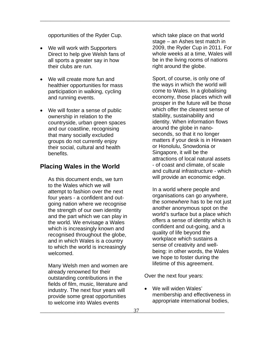opportunities of the Ryder Cup.

\_\_\_\_\_\_\_\_\_\_\_\_\_\_\_\_\_\_\_\_\_\_\_\_\_\_\_\_\_\_\_\_\_\_\_\_\_\_\_\_\_\_\_\_\_\_\_\_\_\_\_\_\_\_\_\_\_\_\_\_\_\_\_\_\_\_\_\_\_\_\_

- We will work with Supporters Direct to help give Welsh fans of all sports a greater say in how their clubs are run.
- We will create more fun and healthier opportunities for mass participation in walking, cycling and running events.
- We will foster a sense of public ownership in relation to the countryside, urban green spaces and our coastline, recognising that many socially excluded groups do not currently enjoy their social, cultural and health benefits.

#### **Placing Wales in the World**

As this document ends, we turn to the Wales which we will attempt to fashion over the next four years - a confident and outgoing nation where we recognise the strength of our own identity and the part which we can play in the world. We envisage a Wales which is increasingly known and recognised throughout the globe, and in which Wales is a country to which the world is increasingly welcomed.

Many Welsh men and women are already renowned for their outstanding contributions in the fields of film, music, literature and industry. The next four years will provide some great opportunities to welcome into Wales events

which take place on that world stage – an Ashes test match in 2009, the Ryder Cup in 2011. For whole weeks at a time, Wales will be in the living rooms of nations right around the globe.

Sport, of course, is only one of the ways in which the world will come to Wales. In a globalising economy, those places which will prosper in the future will be those which offer the clearest sense of stability, sustainability and identity. When information flows around the globe in nanoseconds, so that it no longer matters if your desk is in Hirwaen or Honolulu, Snowdonia or Singapore, it will be the attractions of local natural assets - of coast and climate, of scale and cultural infrastructure - which will provide an economic edge.

In a world where people and organisations can go anywhere, the *somewhere* has to be not just another anonymous spot on the world's surface but a place which offers a sense of identity which is confident and out-going, and a quality of life beyond the workplace which sustains a sense of creativity and wellbeing: in other words, the Wales we hope to foster during the lifetime of this agreement.

Over the next four years:

We will widen Wales' membership and effectiveness in appropriate international bodies,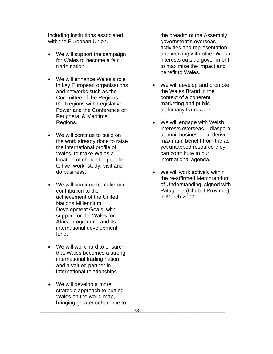including institutions associated with the European Union.

\_\_\_\_\_\_\_\_\_\_\_\_\_\_\_\_\_\_\_\_\_\_\_\_\_\_\_\_\_\_\_\_\_\_\_\_\_\_\_\_\_\_\_\_\_\_\_\_\_\_\_\_\_\_\_\_\_\_\_\_\_\_\_\_\_\_\_\_\_\_\_

- We will support the campaign for Wales to become a fair trade nation.
- We will enhance Wales's role in key European organisations and networks such as the Committee of the Regions, the Regions with Legislative Power and the Conference of Peripheral & Maritime Regions.
- We will continue to build on the work already done to raise the international profile of Wales, to make Wales a location of choice for people to live, work, study, visit and do business.
- We will continue to make our contribution to the achievement of the United Nations Millennium Development Goals, with support for the Wales for Africa programme and its international development fund.
- We will work hard to ensure that Wales becomes a strong international trading nation and a valued partner in international relationships.
- We will develop a more strategic approach to putting Wales on the world map, bringing greater coherence to

the breadth of the Assembly government's overseas activities and representation, and working with other Welsh interests outside government to maximise the impact and benefit to Wales.

- We will develop and promote the Wales Brand in the context of a coherent marketing and public diplomacy framework.
- We will engage with Welsh interests overseas – diaspora, alumni, business – to derive maximum benefit from the asyet untapped resource they can contribute to our international agenda.
- We will work actively within the re-affirmed Memorandum of Understanding, signed with Patagonia (Chubut Province) in March 2007.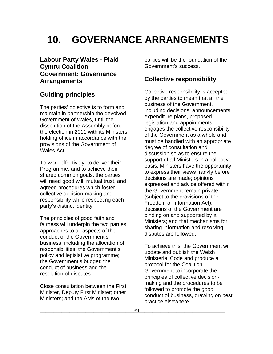### **10. GOVERNANCE ARRANGEMENTS**

\_\_\_\_\_\_\_\_\_\_\_\_\_\_\_\_\_\_\_\_\_\_\_\_\_\_\_\_\_\_\_\_\_\_\_\_\_\_\_\_\_\_\_\_\_\_\_\_\_\_\_\_\_\_\_\_\_\_\_\_\_\_\_\_\_\_\_\_\_\_\_

#### **Labour Party Wales - Plaid Cymru Coalition Government: Governance Arrangements**

#### **Guiding principles**

The parties' objective is to form and maintain in partnership the devolved Government of Wales, until the dissolution of the Assembly before the election in 2011 with its Ministers holding office in accordance with the provisions of the Government of Wales Act.

To work effectively, to deliver their Programme, and to achieve their shared common goals, the parties will need good will, mutual trust, and agreed procedures which foster collective decision-making and responsibility while respecting each party's distinct identity.

The principles of good faith and fairness will underpin the two parties' approaches to all aspects of the conduct of the Government's business, including the allocation of responsibilities; the Government's policy and legislative programme; the Government's budget; the conduct of business and the resolution of disputes.

Close consultation between the First Minister, Deputy First Minister; other Ministers; and the AMs of the two

parties will be the foundation of the Government's success.

#### **Collective responsibility**

Collective responsibility is accepted by the parties to mean that all the business of the Government, including decisions, announcements, expenditure plans, proposed legislation and appointments, engages the collective responsibility of the Government as a whole and must be handled with an appropriate degree of consultation and discussion so as to ensure the support of all Ministers in a collective basis. Ministers have the opportunity to express their views frankly before decisions are made; opinions expressed and advice offered within the Government remain private (subject to the provisions of the Freedom of Information Act); decisions of the Government are binding on and supported by all Ministers; and that mechanisms for sharing information and resolving disputes are followed.

To achieve this, the Government will update and publish the Welsh Ministerial Code and produce a protocol for the Coalition Government to incorporate the principles of collective decisionmaking and the procedures to be followed to promote the good conduct of business, drawing on best practice elsewhere.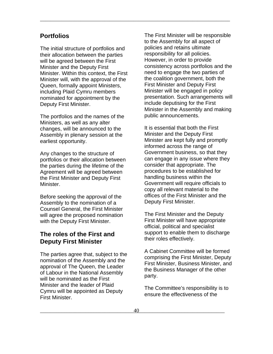#### **Portfolios**

The initial structure of portfolios and their allocation between the parties will be agreed between the First Minister and the Deputy First Minister. Within this context, the First Minister will, with the approval of the Queen, formally appoint Ministers, including Plaid Cymru members nominated for appointment by the Deputy First Minister.

The portfolios and the names of the Ministers, as well as any alter changes, will be announced to the Assembly in plenary session at the earliest opportunity.

Any changes to the structure of portfolios or their allocation between the parties during the lifetime of the Agreement will be agreed between the First Minister and Deputy First Minister.

Before seeking the approval of the Assembly to the nomination of a Counsel General, the First Minister will agree the proposed nomination with the Deputy First Minister.

#### **The roles of the First and Deputy First Minister**

The parties agree that, subject to the nomination of the Assembly and the approval of The Queen, the Leader of Labour in the National Assembly will be nominated as the First Minister and the leader of Plaid Cymru will be appointed as Deputy First Minister.

The First Minister will be responsible to the Assembly for all aspect of policies and retains ultimate responsibility for all policies. However, in order to provide consistency across portfolios and the need to engage the two parties of the coalition government, both the First Minister and Deputy First Minister will be engaged in policy presentation. Such arrangements will include deputising for the First Minister in the Assembly and making public announcements.

It is essential that both the First Minister and the Deputy First Minister are kept fully and promptly informed across the range of Government business, so that they can engage in any issue where they consider that appropriate. The procedures to be established for handling business within the Government will require officials to copy all relevant material to the offices of the First Minister and the Deputy First Minister.

The First Minister and the Deputy First Minister will have appropriate official, political and specialist support to enable them to discharge their roles effectively.

A Cabinet Committee will be formed comprising the First Minister, Deputy First Minister, Business Minister, and the Business Manager of the other party.

The Committee's responsibility is to ensure the effectiveness of the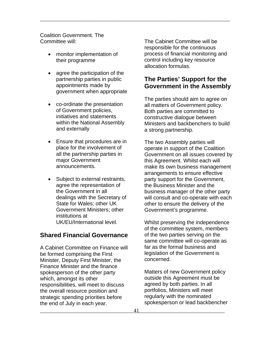Coalition Government. The Committee will:

- monitor implementation of their programme
- agree the participation of the partnership parties in public appointments made by government when appropriate
- co-ordinate the presentation of Government policies, initiatives and statements within the National Assembly and externally
- Ensure that procedures are in place for the involvement of all the partnership parties in major Government announcements.
- Subject to external restraints, agree the representation of the Government in all dealings with the Secretary of State for Wales; other UK Government Ministers; other institutions at UK/EU/International level.

#### **Shared Financial Governance**

A Cabinet Committee on Finance will be formed comprising the First Minister, Deputy First Minister, the Finance Minister and the finance spokesperson of the other party which, amongst its other responsibilities, will meet to discuss the overall resource position and strategic spending priorities before the end of July in each year.

The Cabinet Committee will be responsible for the continuous process of financial monitoring and control including key resource allocation formulas.

\_\_\_\_\_\_\_\_\_\_\_\_\_\_\_\_\_\_\_\_\_\_\_\_\_\_\_\_\_\_\_\_\_\_\_\_\_\_\_\_\_\_\_\_\_\_\_\_\_\_\_\_\_\_\_\_\_\_\_\_\_\_\_\_\_\_\_\_\_\_\_

#### **The Parties' Support for the Government in the Assembly**

The parties should aim to agree on all matters of Government policy. Both parties are committed to constructive dialogue between Ministers and backbenchers to build a strong partnership.

The two Assembly parties will operate in support of the Coalition Government on all issues covered by this Agreement. Whilst each will make its own business management arrangements to ensure effective party support for the Government, the Business Minister and the business manager of the other party will consult and co-operate with each other to ensure the delivery of the Government's programme.

Whilst preserving the independence of the committee system, members of the two parties serving on the same committee will co-operate as far as the formal business and legislation of the Government is concerned.

Matters of new Government policy outside this Agreement must be agreed by both parties. In all portfolios, Ministers will meet regularly with the nominated spokesperson or lead backbencher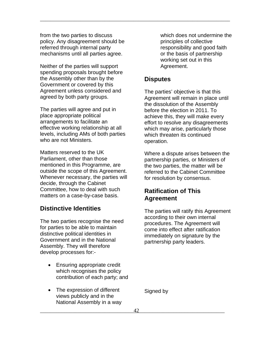from the two parties to discuss policy. Any disagreement should be referred through internal party mechanisms until all parties agree.

Neither of the parties will support spending proposals brought before the Assembly other than by the Government or covered by this Agreement unless considered and agreed by both party groups.

The parties will agree and put in place appropriate political arrangements to facilitate an effective working relationship at all levels, including AMs of both parties who are not Ministers.

Matters reserved to the UK Parliament, other than those mentioned in this Programme, are outside the scope of this Agreement. Whenever necessary, the parties will decide, through the Cabinet Committee, how to deal with such matters on a case-by-case basis.

#### **Distinctive Identities**

The two parties recognise the need for parties to be able to maintain distinctive political identities in Government and in the National Assembly. They will therefore develop processes for:-

- Ensuring appropriate credit which recognises the policy contribution of each party; and
- The expression of different views publicly and in the National Assembly in a way

which does not undermine the principles of collective responsibility and good faith or the basis of partnership working set out in this Agreement.

#### **Disputes**

\_\_\_\_\_\_\_\_\_\_\_\_\_\_\_\_\_\_\_\_\_\_\_\_\_\_\_\_\_\_\_\_\_\_\_\_\_\_\_\_\_\_\_\_\_\_\_\_\_\_\_\_\_\_\_\_\_\_\_\_\_\_\_\_\_\_\_\_\_\_\_

The parties' objective is that this Agreement will remain in place until the dissolution of the Assembly before the election in 2011. To achieve this, they will make every effort to resolve any disagreements which may arise, particularly those which threaten its continued operation.

Where a dispute arises between the partnership parties, or Ministers of the two parties, the matter will be referred to the Cabinet Committee for resolution by consensus.

#### **Ratification of This Agreement**

The parties will ratify this Agreement according to their own internal procedures. The Agreement will come into effect after ratification immediately on signature by the partnership party leaders.

Signed by